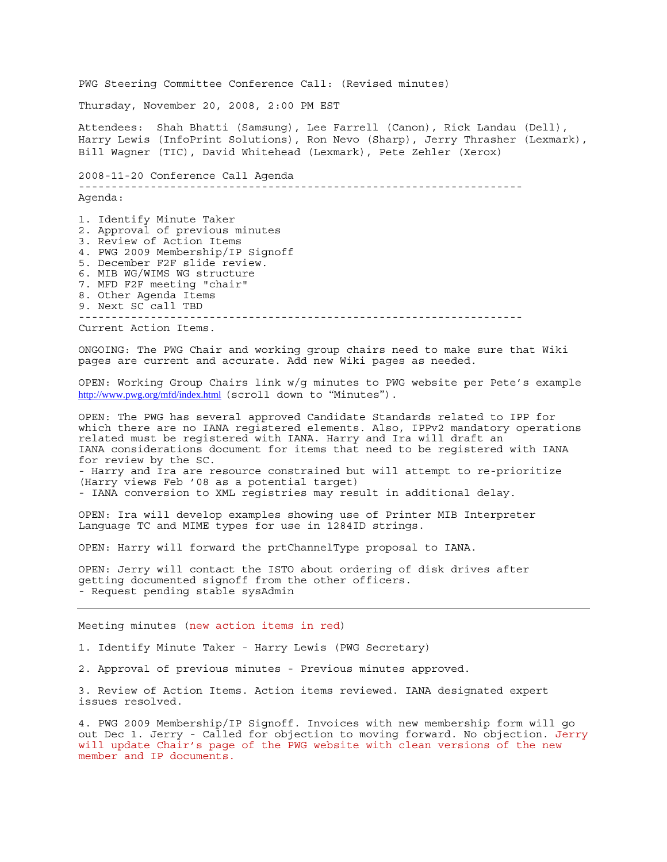PWG Steering Committee Conference Call: (Revised minutes) Thursday, November 20, 2008, 2:00 PM EST Attendees: Shah Bhatti (Samsung), Lee Farrell (Canon), Rick Landau (Dell), Harry Lewis (InfoPrint Solutions), Ron Nevo (Sharp), Jerry Thrasher (Lexmark), Bill Wagner (TIC), David Whitehead (Lexmark), Pete Zehler (Xerox) 2008-11-20 Conference Call Agenda -------------------------------------------------------------------- Agenda: 1. Identify Minute Taker 2. Approval of previous minutes 3. Review of Action Items 4. PWG 2009 Membership/IP Signoff 5. December F2F slide review. 6. MIB WG/WIMS WG structure 7. MFD F2F meeting "chair" 8. Other Agenda Items 9. Next SC call TBD -------------------------------------------------------------------- Current Action Items. ONGOING: The PWG Chair and working group chairs need to make sure that Wiki pages are current and accurate. Add new Wiki pages as needed. OPEN: Working Group Chairs link w/g minutes to PWG website per Pete's example http://www.pwg.org/mfd/index.html (scroll down to "Minutes"). OPEN: The PWG has several approved Candidate Standards related to IPP for which there are no IANA registered elements. Also, IPPv2 mandatory operations related must be registered with IANA. Harry and Ira will draft an IANA considerations document for items that need to be registered with IANA for review by the SC. - Harry and Ira are resource constrained but will attempt to re-prioritize (Harry views Feb '08 as a potential target) - IANA conversion to XML registries may result in additional delay. OPEN: Ira will develop examples showing use of Printer MIB Interpreter Language TC and MIME types for use in 1284ID strings. OPEN: Harry will forward the prtChannelType proposal to IANA. OPEN: Jerry will contact the ISTO about ordering of disk drives after getting documented signoff from the other officers. - Request pending stable sysAdmin Meeting minutes (new action items in red) 1. Identify Minute Taker - Harry Lewis (PWG Secretary) 2. Approval of previous minutes - Previous minutes approved. 3. Review of Action Items. Action items reviewed. IANA designated expert issues resolved. 4. PWG 2009 Membership/IP Signoff. Invoices with new membership form will go out Dec 1. Jerry - Called for objection to moving forward. No objection. Jerry will update Chair's page of the PWG website with clean versions of the new member and IP documents.